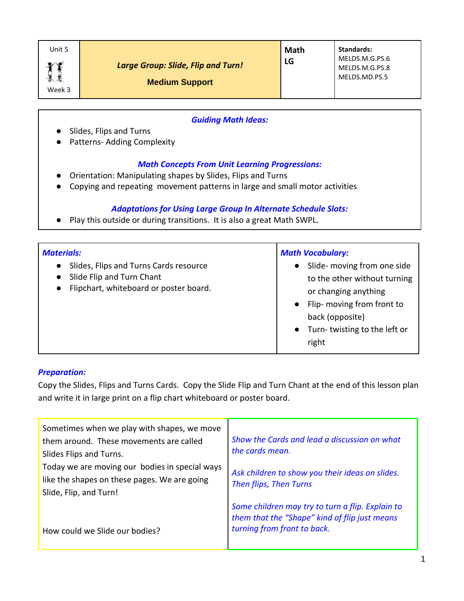| Unit 5              |                                                                    | Math | <b>Standards:</b>                                 |
|---------------------|--------------------------------------------------------------------|------|---------------------------------------------------|
| $\bullet$<br>Week 3 | <b>Large Group: Slide, Flip and Turn!</b><br><b>Medium Support</b> | LG   | MELDS.M.G.PS.6<br>MELDS.M.G.PS.8<br>MELDS.MD.PS.5 |

## *Guiding Math Ideas:*

- Slides, Flips and Turns
- Patterns- Adding Complexity

## *Math Concepts From Unit Learning Progressions:*

- Orientation: Manipulating shapes by Slides, Flips and Turns
- Copying and repeating movement patterns in large and small motor activities

## *Adaptations for Using Large Group In Alternate Schedule Slots:*

● Play this outside or during transitions. It is also a great Math SWPL.

| <b>Materials:</b>                                                                                                            | <b>Math Vocabulary:</b>                                                                                                                                                       |
|------------------------------------------------------------------------------------------------------------------------------|-------------------------------------------------------------------------------------------------------------------------------------------------------------------------------|
| Slides, Flips and Turns Cards resource<br>$\bullet$<br>Slide Flip and Turn Chant<br>• Flipchart, whiteboard or poster board. | Slide- moving from one side<br>to the other without turning<br>or changing anything<br>Flip- moving from front to<br>back (opposite)<br>Turn-twisting to the left or<br>right |

#### *Preparation:*

Copy the Slides, Flips and Turns Cards. Copy the Slide Flip and Turn Chant at the end of this lesson plan and write it in large print on a flip chart whiteboard or poster board.

| Sometimes when we play with shapes, we move<br>them around. These movements are called<br>Slides Flips and Turns.<br>Today we are moving our bodies in special ways | Show the Cards and lead a discussion on what<br>the cards mean.<br>Ask children to show you their ideas on slides.<br>Then flips, Then Turns |  |
|---------------------------------------------------------------------------------------------------------------------------------------------------------------------|----------------------------------------------------------------------------------------------------------------------------------------------|--|
| like the shapes on these pages. We are going<br>Slide, Flip, and Turn!                                                                                              |                                                                                                                                              |  |
| How could we Slide our bodies?                                                                                                                                      | Some children may try to turn a flip. Explain to<br>them that the "Shape" kind of flip just means<br>turning from front to back.             |  |
|                                                                                                                                                                     |                                                                                                                                              |  |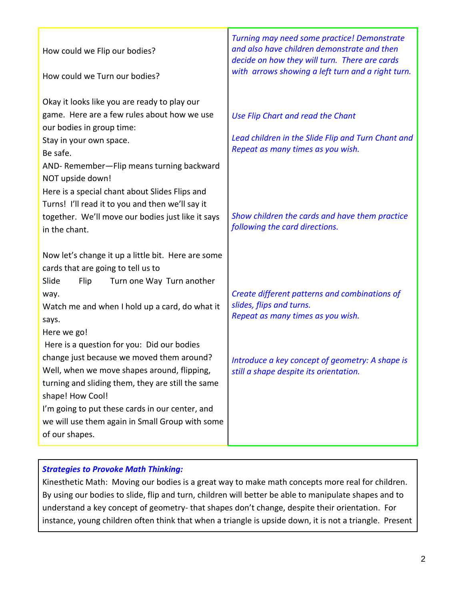| How could we Flip our bodies?<br>How could we Turn our bodies?                                                                                                                                                                                                                                                                          | Turning may need some practice! Demonstrate<br>and also have children demonstrate and then<br>decide on how they will turn. There are cards<br>with arrows showing a left turn and a right turn. |
|-----------------------------------------------------------------------------------------------------------------------------------------------------------------------------------------------------------------------------------------------------------------------------------------------------------------------------------------|--------------------------------------------------------------------------------------------------------------------------------------------------------------------------------------------------|
| Okay it looks like you are ready to play our<br>game. Here are a few rules about how we use<br>our bodies in group time:<br>Stay in your own space.<br>Be safe.<br>AND-Remember-Flip means turning backward<br>NOT upside down!                                                                                                         | Use Flip Chart and read the Chant<br>Lead children in the Slide Flip and Turn Chant and<br>Repeat as many times as you wish.                                                                     |
| Here is a special chant about Slides Flips and<br>Turns! I'll read it to you and then we'll say it<br>together. We'll move our bodies just like it says<br>in the chant.<br>Now let's change it up a little bit. Here are some                                                                                                          | Show children the cards and have them practice<br>following the card directions.                                                                                                                 |
| cards that are going to tell us to<br>Slide<br>Flip<br>Turn one Way Turn another<br>way.<br>Watch me and when I hold up a card, do what it<br>says.<br>Here we go!                                                                                                                                                                      | Create different patterns and combinations of<br>slides, flips and turns.<br>Repeat as many times as you wish.                                                                                   |
| Here is a question for you: Did our bodies<br>change just because we moved them around?<br>Well, when we move shapes around, flipping,<br>turning and sliding them, they are still the same<br>shape! How Cool!<br>I'm going to put these cards in our center, and<br>we will use them again in Small Group with some<br>of our shapes. | Introduce a key concept of geometry: A shape is<br>still a shape despite its orientation.                                                                                                        |

# *Strategies to Provoke Math Thinking:*

Kinesthetic Math: Moving our bodies is a great way to make math concepts more real for children. By using our bodies to slide, flip and turn, children will better be able to manipulate shapes and to understand a key concept of geometry- that shapes don't change, despite their orientation. For instance, young children often think that when a triangle is upside down, it is not a triangle. Present